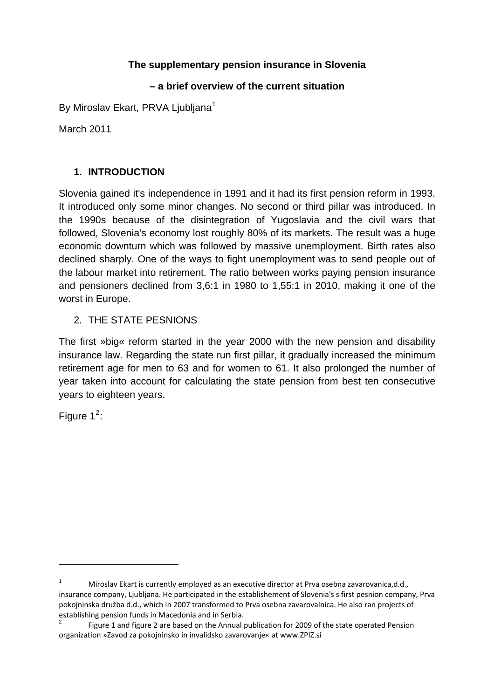# **The supplementary pension insurance in Slovenia**

# **– a brief overview of the current situation**

By Miroslay Ekart, PRVA Liubliana<sup>[1](#page-0-0)</sup>

March 2011

# **1. INTRODUCTION**

Slovenia gained it's independence in 1991 and it had its first pension reform in 1993. It introduced only some minor changes. No second or third pillar was introduced. In the 1990s because of the disintegration of Yugoslavia and the civil wars that followed, Slovenia's economy lost roughly 80% of its markets. The result was a huge economic downturn which was followed by massive unemployment. Birth rates also declined sharply. One of the ways to fight unemployment was to send people out of the labour market into retirement. The ratio between works paying pension insurance and pensioners declined from 3,6:1 in 1980 to 1,55:1 in 2010, making it one of the worst in Europe.

# 2. THE STATE PESNIONS

The first »big« reform started in the year 2000 with the new pension and disability insurance law. Regarding the state run first pillar, it gradually increased the minimum retirement age for men to 63 and for women to 61. It also prolonged the number of year taken into account for calculating the state pension from best ten consecutive years to eighteen years.

Figure  $1^2$  $1^2$ :

<span id="page-0-0"></span>Miroslav Ekart is currently employed as an executive director at Prva osebna zavarovanica,d.d., insurance company, Ljubljana. He participated in the establishement of Slovenia's s first pesnion company, Prva pokojninska družba d.d., which in 2007 transformed to Prva osebna zavarovalnica. He also ran projects of establishing pension funds in Macedonia and in Serbia.<br>
<sup>2</sup> Figure 1 and figure 2 are based on the Annual publication for 2009 of the state operated Pension

<span id="page-0-1"></span>organization »Zavod za pokojninsko in invalidsko zavarovanje« at www.ZPIZ.si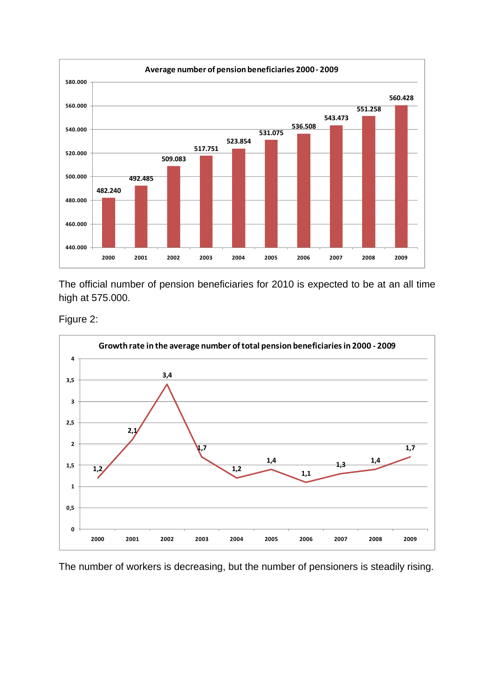

The official number of pension beneficiaries for 2010 is expected to be at an all time high at 575.000.

Figure 2:



The number of workers is decreasing, but the number of pensioners is steadily rising.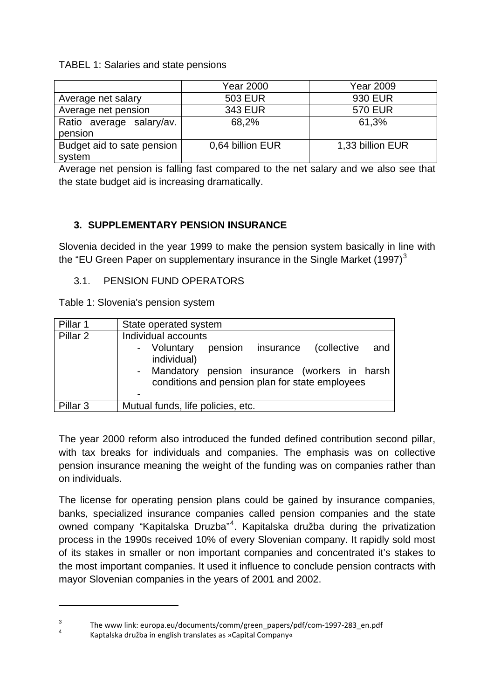TABEL 1: Salaries and state pensions

|                                      | Year 2000        | Year 2009        |
|--------------------------------------|------------------|------------------|
| Average net salary                   | <b>503 EUR</b>   | 930 EUR          |
| Average net pension                  | 343 EUR          | <b>570 EUR</b>   |
| Ratio average salary/av.<br>pension  | 68,2%            | 61,3%            |
| Budget aid to sate pension<br>system | 0,64 billion EUR | 1,33 billion EUR |

Average net pension is falling fast compared to the net salary and we also see that the state budget aid is increasing dramatically.

# **3. SUPPLEMENTARY PENSION INSURANCE**

Slovenia decided in the year 1999 to make the pension system basically in line with the "EU Green Paper on supplementary insurance in the Single Market  $(1997)^3$  $(1997)^3$ 

#### 3.1. PENSION FUND OPERATORS

Table 1: Slovenia's pension system

| Pillar 1            | State operated system                                                                                                                                                                              |
|---------------------|----------------------------------------------------------------------------------------------------------------------------------------------------------------------------------------------------|
| Pillar <sub>2</sub> | Individual accounts<br>- Voluntary<br>pension insurance<br>(collective<br>and<br>individual)<br>- Mandatory pension insurance (workers in harsh<br>conditions and pension plan for state employees |
| Pillar <sub>3</sub> | Mutual funds, life policies, etc.                                                                                                                                                                  |

The year 2000 reform also introduced the funded defined contribution second pillar, with tax breaks for individuals and companies. The emphasis was on collective pension insurance meaning the weight of the funding was on companies rather than on individuals.

The license for operating pension plans could be gained by insurance companies, banks, specialized insurance companies called pension companies and the state owned company "Kapitalska Druzba"<sup>[4](#page-2-1)</sup>. Kapitalska družba during the privatization process in the 1990s received 10% of every Slovenian company. It rapidly sold most of its stakes in smaller or non important companies and concentrated it's stakes to the most important companies. It used it influence to conclude pension contracts with mayor Slovenian companies in the years of 2001 and 2002.

<span id="page-2-1"></span><span id="page-2-0"></span><sup>3</sup> The www link: europa.eu/documents/comm/green\_papers/pdf/com-1997-283\_en.pdf 4

Kaptalska družba in english translates as »Capital Company«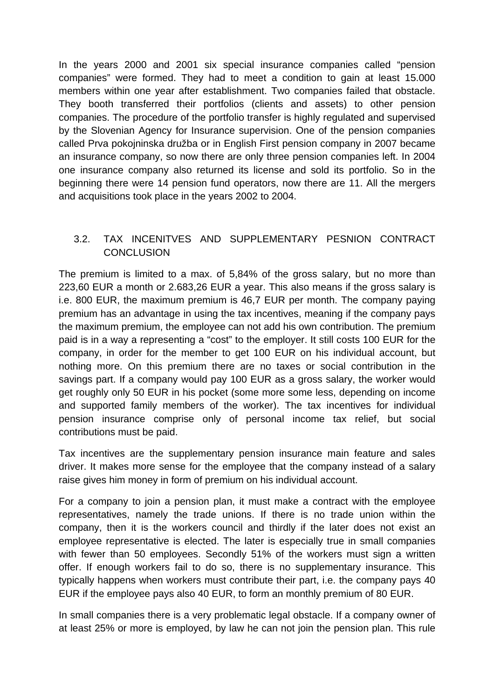In the years 2000 and 2001 six special insurance companies called "pension companies" were formed. They had to meet a condition to gain at least 15.000 members within one year after establishment. Two companies failed that obstacle. They booth transferred their portfolios (clients and assets) to other pension companies. The procedure of the portfolio transfer is highly regulated and supervised by the Slovenian Agency for Insurance supervision. One of the pension companies called Prva pokojninska družba or in English First pension company in 2007 became an insurance company, so now there are only three pension companies left. In 2004 one insurance company also returned its license and sold its portfolio. So in the beginning there were 14 pension fund operators, now there are 11. All the mergers and acquisitions took place in the years 2002 to 2004.

# 3.2. TAX INCENITVES AND SUPPLEMENTARY PESNION CONTRACT CONCLUSION

The premium is limited to a max. of 5,84% of the gross salary, but no more than 223,60 EUR a month or 2.683,26 EUR a year. This also means if the gross salary is i.e. 800 EUR, the maximum premium is 46,7 EUR per month. The company paying premium has an advantage in using the tax incentives, meaning if the company pays the maximum premium, the employee can not add his own contribution. The premium paid is in a way a representing a "cost" to the employer. It still costs 100 EUR for the company, in order for the member to get 100 EUR on his individual account, but nothing more. On this premium there are no taxes or social contribution in the savings part. If a company would pay 100 EUR as a gross salary, the worker would get roughly only 50 EUR in his pocket (some more some less, depending on income and supported family members of the worker). The tax incentives for individual pension insurance comprise only of personal income tax relief, but social contributions must be paid.

Tax incentives are the supplementary pension insurance main feature and sales driver. It makes more sense for the employee that the company instead of a salary raise gives him money in form of premium on his individual account.

For a company to join a pension plan, it must make a contract with the employee representatives, namely the trade unions. If there is no trade union within the company, then it is the workers council and thirdly if the later does not exist an employee representative is elected. The later is especially true in small companies with fewer than 50 employees. Secondly 51% of the workers must sign a written offer. If enough workers fail to do so, there is no supplementary insurance. This typically happens when workers must contribute their part, i.e. the company pays 40 EUR if the employee pays also 40 EUR, to form an monthly premium of 80 EUR.

In small companies there is a very problematic legal obstacle. If a company owner of at least 25% or more is employed, by law he can not join the pension plan. This rule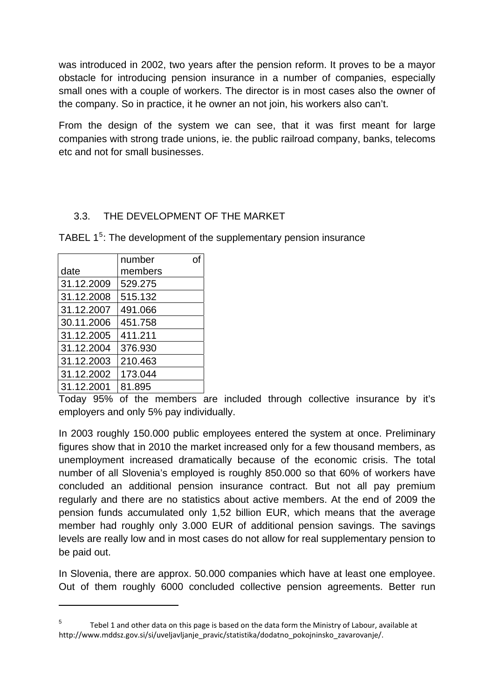was introduced in 2002, two years after the pension reform. It proves to be a mayor obstacle for introducing pension insurance in a number of companies, especially small ones with a couple of workers. The director is in most cases also the owner of the company. So in practice, it he owner an not join, his workers also can't.

From the design of the system we can see, that it was first meant for large companies with strong trade unions, ie. the public railroad company, banks, telecoms etc and not for small businesses.

# 3.3. THE DEVELOPMENT OF THE MARKET

TABEL  $1<sup>5</sup>$  $1<sup>5</sup>$  $1<sup>5</sup>$ : The development of the supplementary pension insurance

|            | number  | വ |
|------------|---------|---|
| date       | members |   |
| 31.12.2009 | 529.275 |   |
| 31.12.2008 | 515.132 |   |
| 31.12.2007 | 491.066 |   |
| 30.11.2006 | 451.758 |   |
| 31.12.2005 | 411.211 |   |
| 31.12.2004 | 376.930 |   |
| 31.12.2003 | 210.463 |   |
| 31.12.2002 | 173.044 |   |
| 31.12.2001 | 81.895  |   |

Today 95% of the members are included through collective insurance by it's employers and only 5% pay individually.

In 2003 roughly 150.000 public employees entered the system at once. Preliminary figures show that in 2010 the market increased only for a few thousand members, as unemployment increased dramatically because of the economic crisis. The total number of all Slovenia's employed is roughly 850.000 so that 60% of workers have concluded an additional pension insurance contract. But not all pay premium regularly and there are no statistics about active members. At the end of 2009 the pension funds accumulated only 1,52 billion EUR, which means that the average member had roughly only 3.000 EUR of additional pension savings. The savings levels are really low and in most cases do not allow for real supplementary pension to be paid out.

In Slovenia, there are approx. 50.000 companies which have at least one employee. Out of them roughly 6000 concluded collective pension agreements. Better run

<span id="page-4-0"></span><sup>5</sup> Tebel 1 and other data on this page is based on the data form the Ministry of Labour, available at http://www.mddsz.gov.si/si/uveljavljanje\_pravic/statistika/dodatno\_pokojninsko\_zavarovanje/.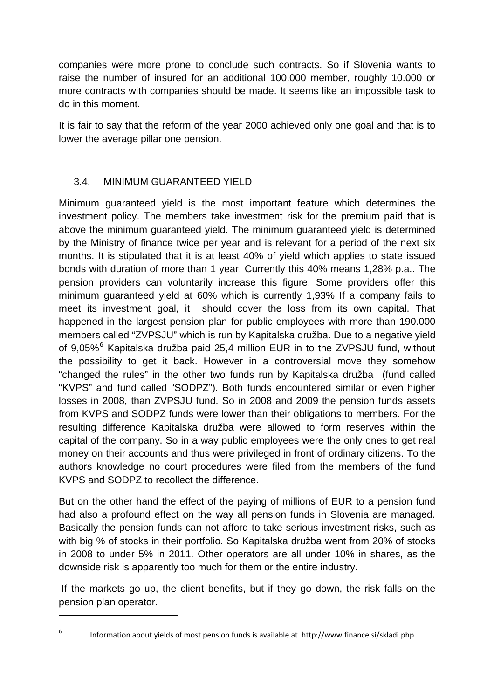companies were more prone to conclude such contracts. So if Slovenia wants to raise the number of insured for an additional 100.000 member, roughly 10.000 or more contracts with companies should be made. It seems like an impossible task to do in this moment.

It is fair to say that the reform of the year 2000 achieved only one goal and that is to lower the average pillar one pension.

# 3.4. MINIMUM GUARANTEED YIELD

Minimum guaranteed yield is the most important feature which determines the investment policy. The members take investment risk for the premium paid that is above the minimum guaranteed yield. The minimum guaranteed yield is determined by the Ministry of finance twice per year and is relevant for a period of the next six months. It is stipulated that it is at least 40% of yield which applies to state issued bonds with duration of more than 1 year. Currently this 40% means 1,28% p.a.. The pension providers can voluntarily increase this figure. Some providers offer this minimum guaranteed yield at 60% which is currently 1,93% If a company fails to meet its investment goal, it should cover the loss from its own capital. That happened in the largest pension plan for public employees with more than 190.000 members called "ZVPSJU" which is run by Kapitalska družba. Due to a negative yield of 9,05%<sup>[6](#page-5-0)</sup> Kapitalska družba paid 25,4 million EUR in to the ZVPSJU fund, without the possibility to get it back. However in a controversial move they somehow "changed the rules" in the other two funds run by Kapitalska družba (fund called "KVPS" and fund called "SODPZ"). Both funds encountered similar or even higher losses in 2008, than ZVPSJU fund. So in 2008 and 2009 the pension funds assets from KVPS and SODPZ funds were lower than their obligations to members. For the resulting difference Kapitalska družba were allowed to form reserves within the capital of the company. So in a way public employees were the only ones to get real money on their accounts and thus were privileged in front of ordinary citizens. To the authors knowledge no court procedures were filed from the members of the fund KVPS and SODPZ to recollect the difference.

But on the other hand the effect of the paying of millions of EUR to a pension fund had also a profound effect on the way all pension funds in Slovenia are managed. Basically the pension funds can not afford to take serious investment risks, such as with big % of stocks in their portfolio. So Kapitalska družba went from 20% of stocks in 2008 to under 5% in 2011. Other operators are all under 10% in shares, as the downside risk is apparently too much for them or the entire industry.

 If the markets go up, the client benefits, but if they go down, the risk falls on the pension plan operator.

<span id="page-5-0"></span>6

Information about yields of most pension funds is available at http://www.finance.si/skladi.php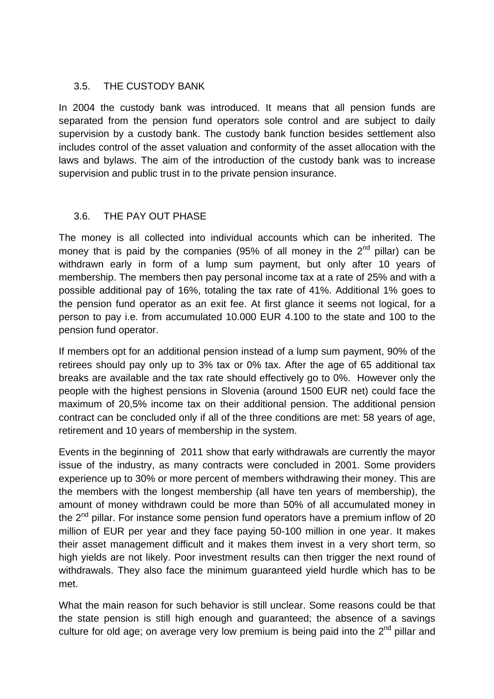#### 3.5. THE CUSTODY BANK

In 2004 the custody bank was introduced. It means that all pension funds are separated from the pension fund operators sole control and are subject to daily supervision by a custody bank. The custody bank function besides settlement also includes control of the asset valuation and conformity of the asset allocation with the laws and bylaws. The aim of the introduction of the custody bank was to increase supervision and public trust in to the private pension insurance.

# 3.6. THE PAY OUT PHASE

The money is all collected into individual accounts which can be inherited. The money that is paid by the companies (95% of all money in the  $2^{nd}$  pillar) can be withdrawn early in form of a lump sum payment, but only after 10 years of membership. The members then pay personal income tax at a rate of 25% and with a possible additional pay of 16%, totaling the tax rate of 41%. Additional 1% goes to the pension fund operator as an exit fee. At first glance it seems not logical, for a person to pay i.e. from accumulated 10.000 EUR 4.100 to the state and 100 to the pension fund operator.

If members opt for an additional pension instead of a lump sum payment, 90% of the retirees should pay only up to 3% tax or 0% tax. After the age of 65 additional tax breaks are available and the tax rate should effectively go to 0%. However only the people with the highest pensions in Slovenia (around 1500 EUR net) could face the maximum of 20,5% income tax on their additional pension. The additional pension contract can be concluded only if all of the three conditions are met: 58 years of age, retirement and 10 years of membership in the system.

Events in the beginning of 2011 show that early withdrawals are currently the mayor issue of the industry, as many contracts were concluded in 2001. Some providers experience up to 30% or more percent of members withdrawing their money. This are the members with the longest membership (all have ten years of membership), the amount of money withdrawn could be more than 50% of all accumulated money in the  $2<sup>nd</sup>$  pillar. For instance some pension fund operators have a premium inflow of 20 million of EUR per year and they face paying 50-100 million in one year. It makes their asset management difficult and it makes them invest in a very short term, so high yields are not likely. Poor investment results can then trigger the next round of withdrawals. They also face the minimum guaranteed yield hurdle which has to be met.

What the main reason for such behavior is still unclear. Some reasons could be that the state pension is still high enough and guaranteed; the absence of a savings culture for old age; on average very low premium is being paid into the  $2^{nd}$  pillar and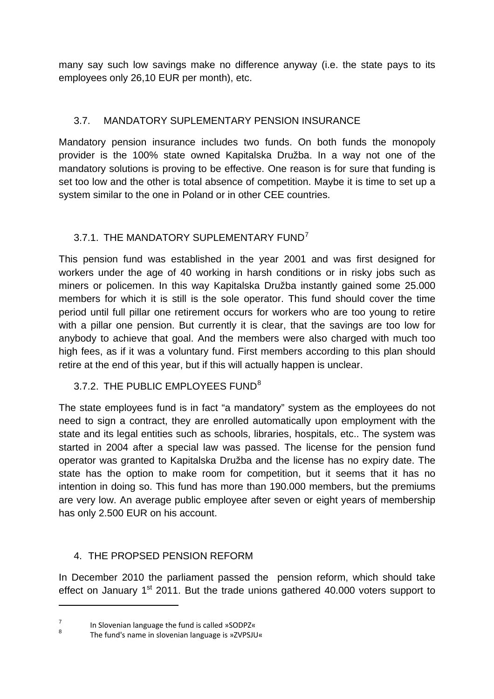many say such low savings make no difference anyway (i.e. the state pays to its employees only 26,10 EUR per month), etc.

# 3.7. MANDATORY SUPLEMENTARY PENSION INSURANCE

Mandatory pension insurance includes two funds. On both funds the monopoly provider is the 100% state owned Kapitalska Družba. In a way not one of the mandatory solutions is proving to be effective. One reason is for sure that funding is set too low and the other is total absence of competition. Maybe it is time to set up a system similar to the one in Poland or in other CEE countries.

# 3.[7](#page-7-0).1. THE MANDATORY SUPLEMENTARY FUND<sup>7</sup>

This pension fund was established in the year 2001 and was first designed for workers under the age of 40 working in harsh conditions or in risky jobs such as miners or policemen. In this way Kapitalska Družba instantly gained some 25.000 members for which it is still is the sole operator. This fund should cover the time period until full pillar one retirement occurs for workers who are too young to retire with a pillar one pension. But currently it is clear, that the savings are too low for anybody to achieve that goal. And the members were also charged with much too high fees, as if it was a voluntary fund. First members according to this plan should retire at the end of this year, but if this will actually happen is unclear.

# 3.7.2. THE PUBLIC EMPLOYEES FUND<sup>[8](#page-7-1)</sup>

The state employees fund is in fact "a mandatory" system as the employees do not need to sign a contract, they are enrolled automatically upon employment with the state and its legal entities such as schools, libraries, hospitals, etc.. The system was started in 2004 after a special law was passed. The license for the pension fund operator was granted to Kapitalska Družba and the license has no expiry date. The state has the option to make room for competition, but it seems that it has no intention in doing so. This fund has more than 190.000 members, but the premiums are very low. An average public employee after seven or eight years of membership has only 2.500 EUR on his account.

# 4. THE PROPSED PENSION REFORM

In December 2010 the parliament passed the pension reform, which should take effect on January  $1<sup>st</sup>$  2011. But the trade unions gathered 40.000 voters support to

<span id="page-7-0"></span><sup>7</sup> In Slovenian language the fund is called »SODPZ«

<span id="page-7-1"></span><sup>8</sup> The fund's name in slovenian language is »ZVPSJU«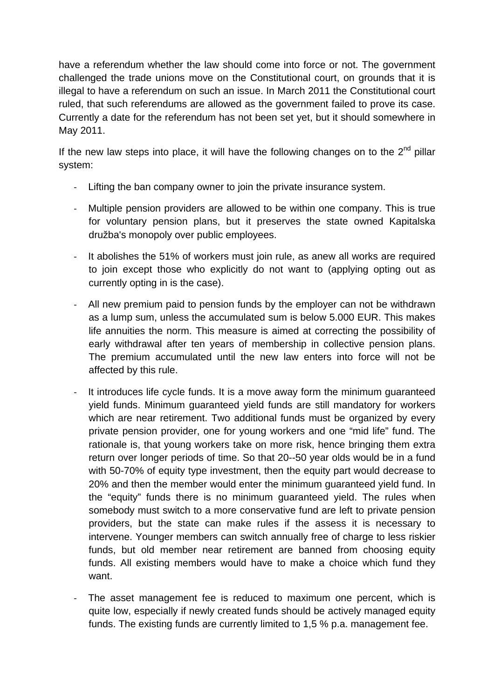have a referendum whether the law should come into force or not. The government challenged the trade unions move on the Constitutional court, on grounds that it is illegal to have a referendum on such an issue. In March 2011 the Constitutional court ruled, that such referendums are allowed as the government failed to prove its case. Currently a date for the referendum has not been set yet, but it should somewhere in May 2011.

If the new law steps into place, it will have the following changes on to the  $2<sup>nd</sup>$  pillar system:

- ‐ Lifting the ban company owner to join the private insurance system.
- ‐ Multiple pension providers are allowed to be within one company. This is true for voluntary pension plans, but it preserves the state owned Kapitalska družba's monopoly over public employees.
- ‐ It abolishes the 51% of workers must join rule, as anew all works are required to join except those who explicitly do not want to (applying opting out as currently opting in is the case).
- ‐ All new premium paid to pension funds by the employer can not be withdrawn as a lump sum, unless the accumulated sum is below 5.000 EUR. This makes life annuities the norm. This measure is aimed at correcting the possibility of early withdrawal after ten years of membership in collective pension plans. The premium accumulated until the new law enters into force will not be affected by this rule.
- ‐ It introduces life cycle funds. It is a move away form the minimum guaranteed yield funds. Minimum guaranteed yield funds are still mandatory for workers which are near retirement. Two additional funds must be organized by every private pension provider, one for young workers and one "mid life" fund. The rationale is, that young workers take on more risk, hence bringing them extra return over longer periods of time. So that 20--50 year olds would be in a fund with 50-70% of equity type investment, then the equity part would decrease to 20% and then the member would enter the minimum guaranteed yield fund. In the "equity" funds there is no minimum guaranteed yield. The rules when somebody must switch to a more conservative fund are left to private pension providers, but the state can make rules if the assess it is necessary to intervene. Younger members can switch annually free of charge to less riskier funds, but old member near retirement are banned from choosing equity funds. All existing members would have to make a choice which fund they want.
- ‐ The asset management fee is reduced to maximum one percent, which is quite low, especially if newly created funds should be actively managed equity funds. The existing funds are currently limited to 1,5 % p.a. management fee.